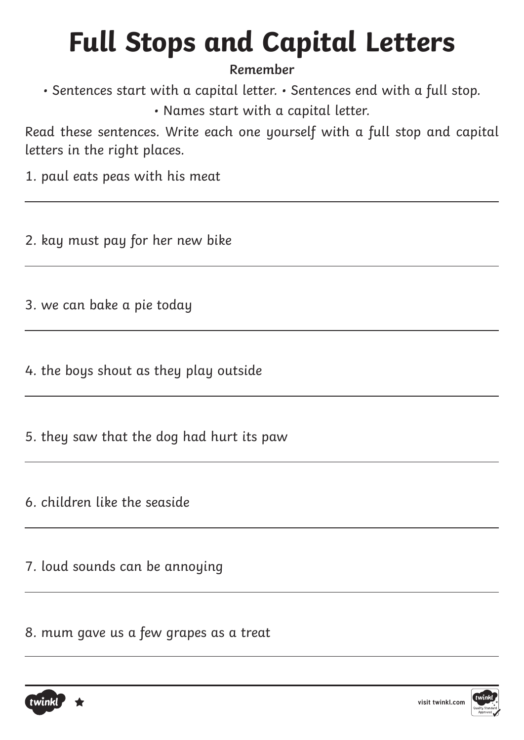### **Remember**

• Sentences start with a capital letter. • Sentences end with a full stop.

• Names start with a capital letter.

Read these sentences. Write each one yourself with a full stop and capital letters in the right places.

1. paul eats peas with his meat

2. kay must pay for her new bike

3. we can bake a pie today

4. the boys shout as they play outside

5. they saw that the dog had hurt its paw

6. children like the seaside

7. loud sounds can be annoying

8. mum gave us a few grapes as a treat



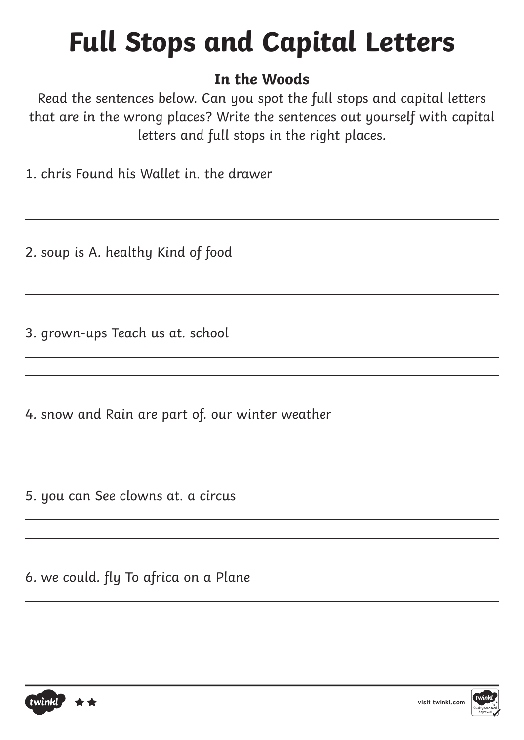### **In the Woods**

Read the sentences below. Can you spot the full stops and capital letters that are in the wrong places? Write the sentences out yourself with capital letters and full stops in the right places.

1. chris Found his Wallet in. the drawer

2. soup is A. healthy Kind of food

3. grown-ups Teach us at. school

4. snow and Rain are part of. our winter weather

5. you can See clowns at. a circus

6. we could. fly To africa on a Plane



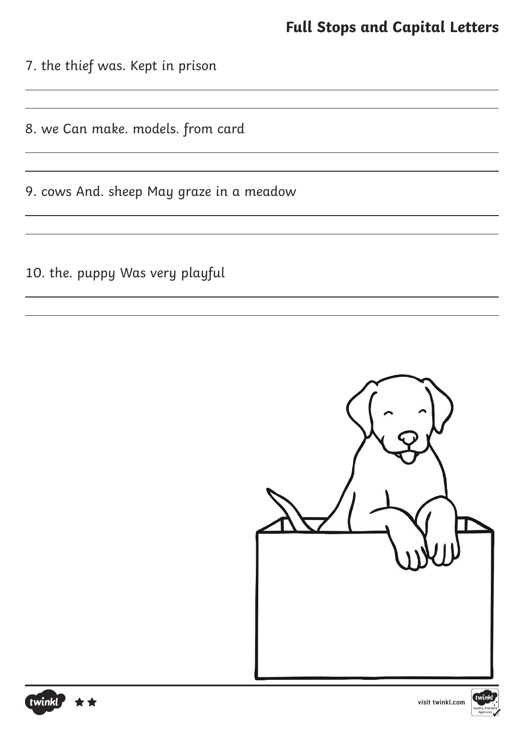7. the thief was. Kept in prison

8. we Can make. models. from card

9. cows And. sheep May graze in a meadow

10. the. puppy Was very playful







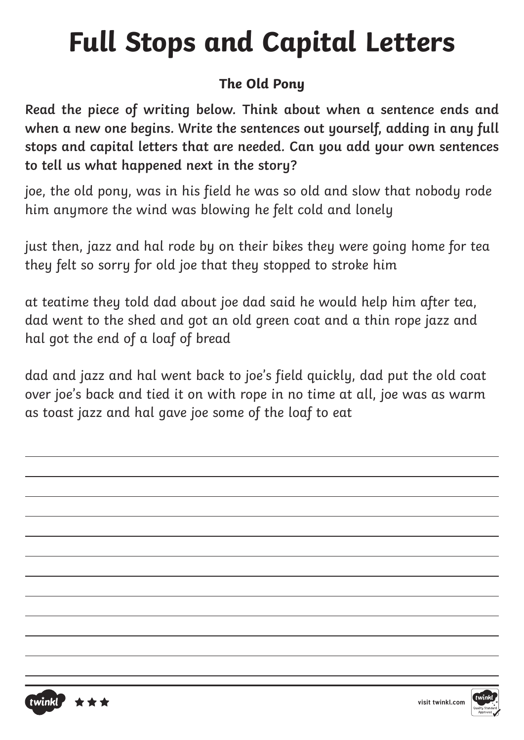### **The Old Pony**

**Read the piece of writing below. Think about when a sentence ends and when a new one begins. Write the sentences out yourself, adding in any full stops and capital letters that are needed. Can you add your own sentences to tell us what happened next in the story?**

joe, the old pony, was in his field he was so old and slow that nobody rode him anymore the wind was blowing he felt cold and lonely

just then, jazz and hal rode by on their bikes they were going home for tea they felt so sorry for old joe that they stopped to stroke him

at teatime they told dad about joe dad said he would help him after tea, dad went to the shed and got an old green coat and a thin rope jazz and hal got the end of a loaf of bread

dad and jazz and hal went back to joe's field quickly, dad put the old coat over joe's back and tied it on with rope in no time at all, joe was as warm as toast jazz and hal gave joe some of the loaf to eat



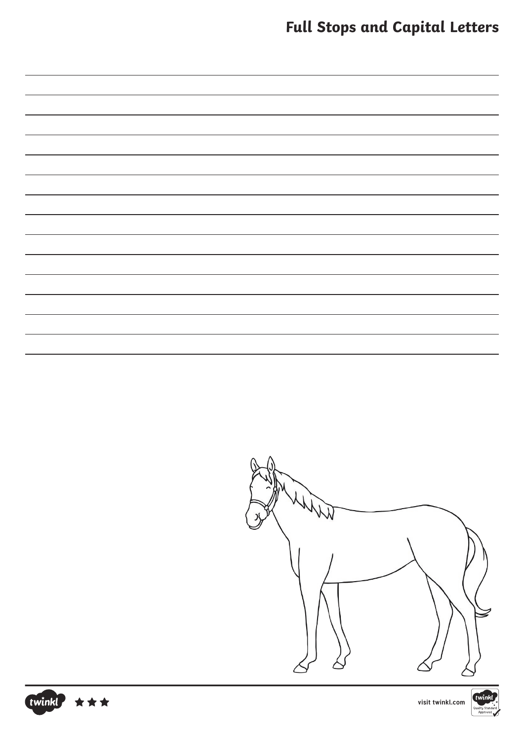|  |  |  | <b>Full Stops and Capital Letters</b> |  |
|--|--|--|---------------------------------------|--|
|--|--|--|---------------------------------------|--|





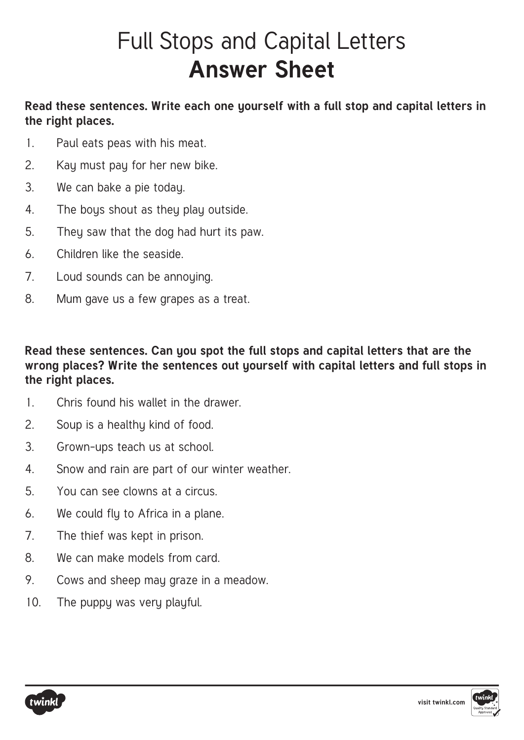# Full Stops and Capital Letters **Answer Sheet**

#### **Read these sentences. Write each one yourself with a full stop and capital letters in the right places.**

- 1. Paul eats peas with his meat.
- 2. Kay must pay for her new bike.
- 3. We can bake a pie today.
- 4. The boys shout as they play outside.
- 5. They saw that the dog had hurt its paw.
- 6. Children like the seaside.
- 7. Loud sounds can be annoying.
- 8. Mum gave us a few grapes as a treat.

#### **Read these sentences. Can you spot the full stops and capital letters that are the wrong places? Write the sentences out yourself with capital letters and full stops in the right places.**

- 1. Chris found his wallet in the drawer.
- 2. Soup is a healthy kind of food.
- 3. Grown-ups teach us at school.
- 4. Snow and rain are part of our winter weather.
- 5. You can see clowns at a circus.
- 6. We could fly to Africa in a plane.
- 7. The thief was kept in prison.
- 8. We can make models from card.
- 9. Cows and sheep may graze in a meadow.
- 10. The puppy was very playful.